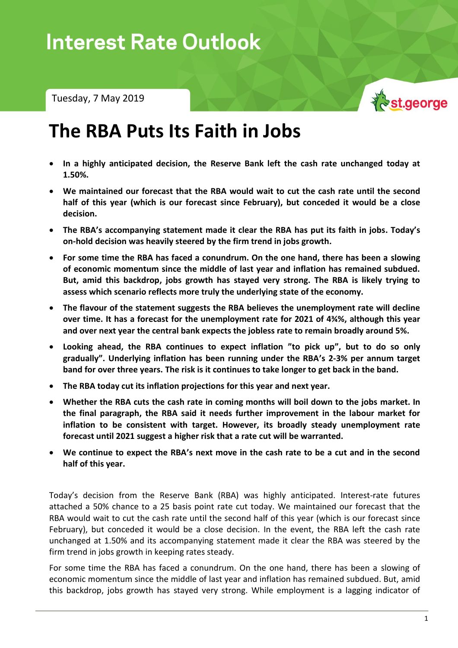Tuesday, 7 May 2019



## **The RBA Puts Its Faith in Jobs**

- **In a highly anticipated decision, the Reserve Bank left the cash rate unchanged today at 1.50%.**
- **We maintained our forecast that the RBA would wait to cut the cash rate until the second half of this year (which is our forecast since February), but conceded it would be a close decision.**
- **The RBA's accompanying statement made it clear the RBA has put its faith in jobs. Today's on-hold decision was heavily steered by the firm trend in jobs growth.**
- **For some time the RBA has faced a conundrum. On the one hand, there has been a slowing of economic momentum since the middle of last year and inflation has remained subdued. But, amid this backdrop, jobs growth has stayed very strong. The RBA is likely trying to assess which scenario reflects more truly the underlying state of the economy.**
- **The flavour of the statement suggests the RBA believes the unemployment rate will decline over time. It has a forecast for the unemployment rate for 2021 of 4¾%, although this year and over next year the central bank expects the jobless rate to remain broadly around 5%.**
- **Looking ahead, the RBA continues to expect inflation "to pick up", but to do so only gradually". Underlying inflation has been running under the RBA's 2-3% per annum target band for over three years. The risk is it continues to take longer to get back in the band.**
- **The RBA today cut its inflation projections for this year and next year.**
- **Whether the RBA cuts the cash rate in coming months will boil down to the jobs market. In the final paragraph, the RBA said it needs further improvement in the labour market for inflation to be consistent with target. However, its broadly steady unemployment rate forecast until 2021 suggest a higher risk that a rate cut will be warranted.**
- **We continue to expect the RBA's next move in the cash rate to be a cut and in the second half of this year.**

Today's decision from the Reserve Bank (RBA) was highly anticipated. Interest-rate futures attached a 50% chance to a 25 basis point rate cut today. We maintained our forecast that the RBA would wait to cut the cash rate until the second half of this year (which is our forecast since February), but conceded it would be a close decision. In the event, the RBA left the cash rate unchanged at 1.50% and its accompanying statement made it clear the RBA was steered by the firm trend in jobs growth in keeping rates steady.

For some time the RBA has faced a conundrum. On the one hand, there has been a slowing of economic momentum since the middle of last year and inflation has remained subdued. But, amid this backdrop, jobs growth has stayed very strong. While employment is a lagging indicator of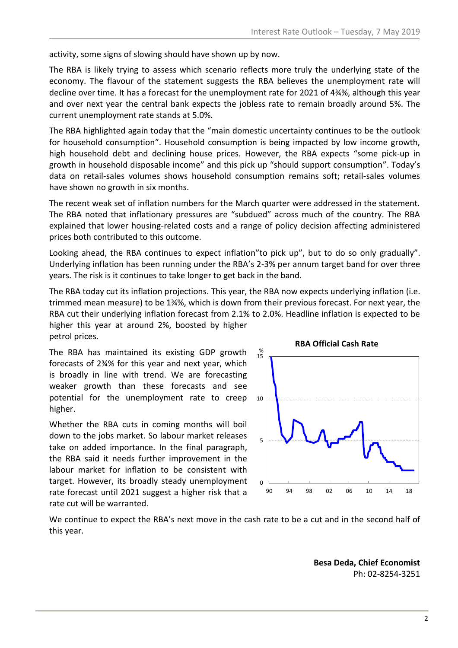activity, some signs of slowing should have shown up by now.

The RBA is likely trying to assess which scenario reflects more truly the underlying state of the economy. The flavour of the statement suggests the RBA believes the unemployment rate will decline over time. It has a forecast for the unemployment rate for 2021 of 4¾%, although this year and over next year the central bank expects the jobless rate to remain broadly around 5%. The current unemployment rate stands at 5.0%.

The RBA highlighted again today that the "main domestic uncertainty continues to be the outlook for household consumption". Household consumption is being impacted by low income growth, high household debt and declining house prices. However, the RBA expects "some pick-up in growth in household disposable income" and this pick up "should support consumption". Today's data on retail-sales volumes shows household consumption remains soft; retail-sales volumes have shown no growth in six months.

The recent weak set of inflation numbers for the March quarter were addressed in the statement. The RBA noted that inflationary pressures are "subdued" across much of the country. The RBA explained that lower housing-related costs and a range of policy decision affecting administered prices both contributed to this outcome.

Looking ahead, the RBA continues to expect inflation"to pick up", but to do so only gradually". Underlying inflation has been running under the RBA's 2-3% per annum target band for over three years. The risk is it continues to take longer to get back in the band.

The RBA today cut its inflation projections. This year, the RBA now expects underlying inflation (i.e. trimmed mean measure) to be 1¾%, which is down from their previous forecast. For next year, the RBA cut their underlying inflation forecast from 2.1% to 2.0%. Headline inflation is expected to be higher this year at around 2%, boosted by higher petrol prices.

The RBA has maintained its existing GDP growth forecasts of 2¾% for this year and next year, which is broadly in line with trend. We are forecasting weaker growth than these forecasts and see potential for the unemployment rate to creep higher.

Whether the RBA cuts in coming months will boil down to the jobs market. So labour market releases take on added importance. In the final paragraph, the RBA said it needs further improvement in the labour market for inflation to be consistent with target. However, its broadly steady unemployment rate forecast until 2021 suggest a higher risk that a rate cut will be warranted.



We continue to expect the RBA's next move in the cash rate to be a cut and in the second half of this year.

> **Besa Deda, Chief Economist** Ph: 02-8254-3251